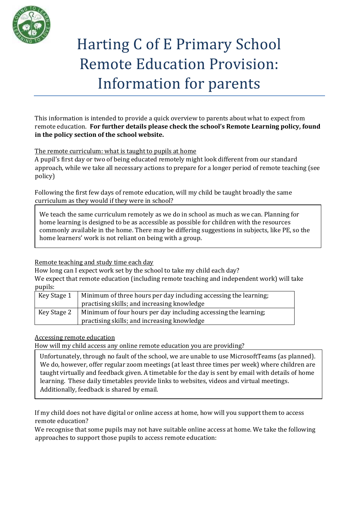

# Harting C of E Primary School Remote Education Provision: Information for parents

This information is intended to provide a quick overview to parents about what to expect from remote education. **For further details please check the school's Remote Learning policy, found in the policy section of the school website.**

# The remote curriculum: what is taught to pupils at home

A pupil's first day or two of being educated remotely might look different from our standard approach, while we take all necessary actions to prepare for a longer period of remote teaching (see policy)

Following the first few days of remote education, will my child be taught broadly the same curriculum as they would if they were in school?

We teach the same curriculum remotely as we do in school as much as we can. Planning for home learning is designed to be as accessible as possible for children with the resources commonly available in the home. There may be differing suggestions in subjects, like PE, so the home learners' work is not reliant on being with a group.

### Remote teaching and study time each day

How long can I expect work set by the school to take my child each day?

We expect that remote education (including remote teaching and independent work) will take pupils:

| Key Stage 1 | Minimum of three hours per day including accessing the learning; |
|-------------|------------------------------------------------------------------|
|             | practising skills; and increasing knowledge                      |
| Key Stage 2 | Minimum of four hours per day including accessing the learning;  |
|             | practising skills; and increasing knowledge                      |

### Accessing remote education

How will my child access any online remote education you are providing?

Unfortunately, through no fault of the school, we are unable to use MicrosoftTeams (as planned). We do, however, offer regular zoom meetings (at least three times per week) where children are taught virtually and feedback given. A timetable for the day is sent by email with details of home learning. These daily timetables provide links to websites, videos and virtual meetings. Additionally, feedback is shared by email.

If my child does not have digital or online access at home, how will you support them to access remote education?

We recognise that some pupils may not have suitable online access at home. We take the following approaches to support those pupils to access remote education: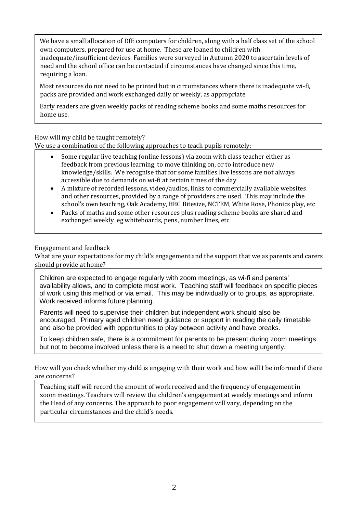We have a small allocation of DfE computers for children, along with a half class set of the school own computers, prepared for use at home. These are loaned to children with inadequate/insufficient devices. Families were surveyed in Autumn 2020 to ascertain levels of need and the school office can be contacted if circumstances have changed since this time, requiring a loan.

Most resources do not need to be printed but in circumstances where there is inadequate wi-fi, packs are provided and work exchanged daily or weekly, as appropriate.

Early readers are given weekly packs of reading scheme books and some maths resources for home use.

How will my child be taught remotely?

We use a combination of the following approaches to teach pupils remotely:

- Some regular live teaching (online lessons) via zoom with class teacher either as feedback from previous learning, to move thinking on, or to introduce new knowledge/skills. We recognise that for some families live lessons are not always accessible due to demands on wi-fi at certain times of the day
- A mixture of recorded lessons, video/audios, links to commercially available websites and other resources, provided by a range of providers are used. This may include the school's own teaching, Oak Academy, BBC Bitesize, NCTEM, White Rose, Phonics play, etc
- Packs of maths and some other resources plus reading scheme books are shared and exchanged weekly eg whiteboards, pens, number lines, etc

# Engagement and feedback

What are your expectations for my child's engagement and the support that we as parents and carers should provide at home?

Children are expected to engage regularly with zoom meetings, as wi-fi and parents' availability allows, and to complete most work. Teaching staff will feedback on specific pieces of work using this method or via email. This may be individually or to groups, as appropriate. Work received informs future planning.

Parents will need to supervise their children but independent work should also be encouraged. Primary aged children need guidance or support in reading the daily timetable and also be provided with opportunities to play between activity and have breaks.

To keep children safe, there is a commitment for parents to be present during zoom meetings but not to become involved unless there is a need to shut down a meeting urgently.

How will you check whether my child is engaging with their work and how will I be informed if there are concerns?

Teaching staff will record the amount of work received and the frequency of engagement in zoom meetings. Teachers will review the children's engagement at weekly meetings and inform the Head of any concerns. The approach to poor engagement will vary, depending on the particular circumstances and the child's needs.